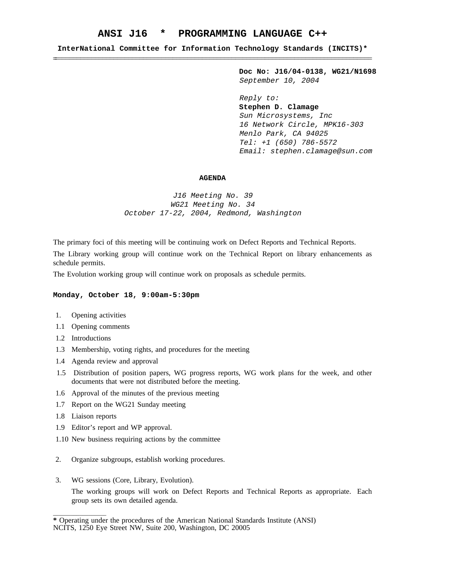# **ANSI J16 \* PROGRAMMING LANGUAGE C++**

**InterNational Committee for Information Technology Standards (INCITS)\*** \_\_\_\_\_\_\_\_\_\_\_\_\_\_\_\_\_\_\_\_\_\_\_\_\_\_\_\_\_\_\_\_\_\_\_\_\_\_\_\_\_\_\_\_\_\_\_\_\_\_\_\_\_\_\_\_\_\_\_\_\_\_\_\_\_\_\_\_\_\_\_\_\_\_\_\_\_\_\_\_\_\_\_\_\_\_\_\_ \_\_\_\_\_\_\_\_\_\_\_\_\_\_\_\_\_\_\_\_\_\_\_\_\_\_\_\_\_\_\_\_\_\_\_\_\_\_\_\_\_\_\_\_\_\_\_\_\_\_\_\_\_\_\_\_\_\_\_\_\_\_\_\_\_\_\_\_\_\_\_\_\_\_\_\_\_\_\_\_\_\_\_\_\_\_

> **Doc No: J16/04-0138, WG21/N1698** September 10, 2004

Reply to: **Stephen D. Clamage** Sun Microsystems, Inc 16 Network Circle, MPK16-303 Menlo Park, CA 94025 Tel: +1 (650) 786-5572 Email: stephen.clamage@sun.com

#### **AGENDA**

J16 Meeting No. 39 WG21 Meeting No. 34 October 17-22, 2004, Redmond, Washington

The primary foci of this meeting will be continuing work on Defect Reports and Technical Reports.

The Library working group will continue work on the Technical Report on library enhancements as schedule permits.

The Evolution working group will continue work on proposals as schedule permits.

### **Monday, October 18, 9:00am-5:30pm**

- 1. Opening activities
- 1.1 Opening comments
- 1.2 Introductions
- 1.3 Membership, voting rights, and procedures for the meeting
- 1.4 Agenda review and approval
- 1.5 Distribution of position papers, WG progress reports, WG work plans for the week, and other documents that were not distributed before the meeting.
- 1.6 Approval of the minutes of the previous meeting
- 1.7 Report on the WG21 Sunday meeting
- 1.8 Liaison reports

 $\overline{\phantom{a}}$  , where  $\overline{\phantom{a}}$ 

- 1.9 Editor's report and WP approval.
- 1.10 New business requiring actions by the committee
- 2. Organize subgroups, establish working procedures.
- 3. WG sessions (Core, Library, Evolution).

The working groups will work on Defect Reports and Technical Reports as appropriate. Each group sets its own detailed agenda.

**<sup>\*</sup>** Operating under the procedures of the American National Standards Institute (ANSI)

NCITS, 1250 Eye Street NW, Suite 200, Washington, DC 20005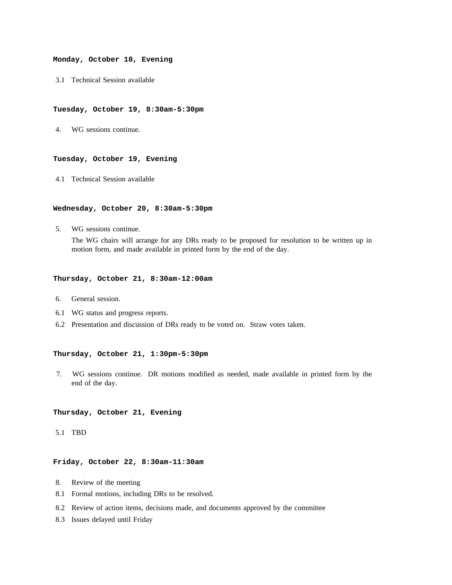#### **Monday, October 18, Evening**

3.1 Technical Session available

# **Tuesday, October 19, 8:30am-5:30pm**

4. WG sessions continue.

### **Tuesday, October 19, Evening**

4.1 Technical Session available

### **Wednesday, October 20, 8:30am-5:30pm**

5. WG sessions continue.

The WG chairs will arrange for any DRs ready to be proposed for resolution to be written up in motion form, and made available in printed form by the end of the day.

### **Thursday, October 21, 8:30am-12:00am**

- 6. General session.
- 6.1 WG status and progress reports.
- 6.2 Presentation and discussion of DRs ready to be voted on. Straw votes taken.

# **Thursday, October 21, 1:30pm-5:30pm**

7. WG sessions continue. DR motions modified as needed, made available in printed form by the end of the day.

### **Thursday, October 21, Evening**

### 5.1 TBD

# **Friday, October 22, 8:30am-11:30am**

- 8. Review of the meeting
- 8.1 Formal motions, including DRs to be resolved.
- 8.2 Review of action items, decisions made, and documents approved by the committee
- 8.3 Issues delayed until Friday